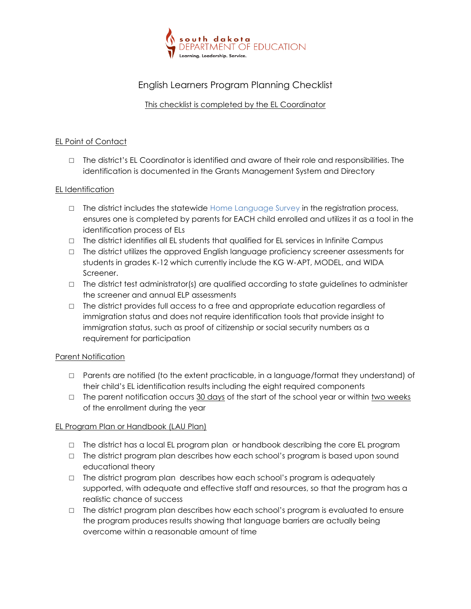

# English Learners Program Planning Checklist

## This checklist is completed by the EL Coordinator

#### EL Point of Contact

□ The district's EL Coordinator is identified and aware of their role and responsibilities. The identification is documented in the Grants Management System and Directory

## EL Identification

- $\Box$  The district includes the statewide Home Language Survey in the registration process, ensures one is completed by parents for EACH child enrolled and utilizes it as a tool in the identification process of ELs
- □ The district identifies all EL students that qualified for EL services in Infinite Campus
- □ The district utilizes the approved English language proficiency screener assessments for students in grades K-12 which currently include the KG W-APT, MODEL, and WIDA Screener.
- $\Box$  The district test administrator(s) are qualified according to state guidelines to administer the screener and annual ELP assessments
- $\Box$  The district provides full access to a free and appropriate education regardless of immigration status and does not require identification tools that provide insight to immigration status, such as proof of citizenship or social security numbers as a requirement for participation

#### Parent Notification

- □ Parents are notified (to the extent practicable, in a language/format they understand) of their child's EL identification results including the eight required components
- $\Box$  The parent notification occurs 30 days of the start of the school year or within two weeks of the enrollment during the year

#### EL Program Plan or Handbook (LAU Plan)

- $\Box$  The district has a local EL program plan or handbook describing the core EL program
- □ The district program plan describes how each school's program is based upon sound educational theory
- □ The district program plan describes how each school's program is adequately supported, with adequate and effective staff and resources, so that the program has a realistic chance of success
- □ The district program plan describes how each school's program is evaluated to ensure the program produces results showing that language barriers are actually being overcome within a reasonable amount of time